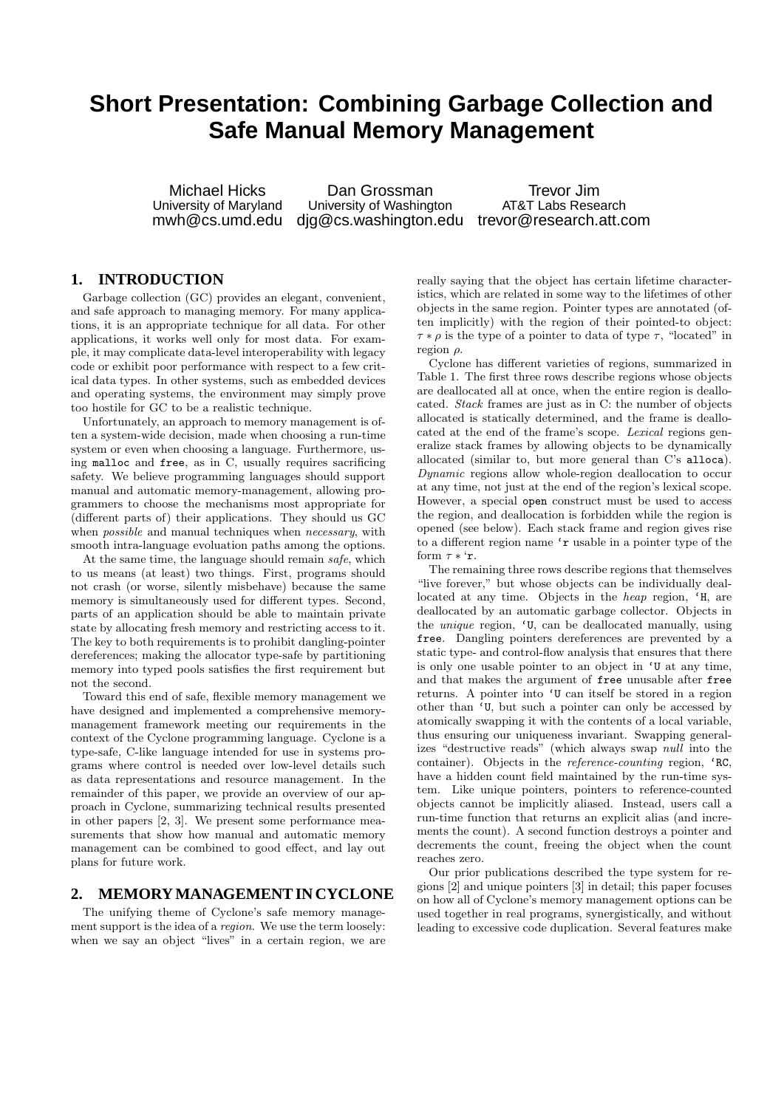# **Short Presentation: Combining Garbage Collection and Safe Manual Memory Management**

Michael Hicks Dan Grossman<br>
University of Maryland University of Washington AT&T Labs Research University of Washington mwh@cs.umd.edu djg@cs.washington.edu trevor@research.att.com

# **1. INTRODUCTION**

Garbage collection (GC) provides an elegant, convenient, and safe approach to managing memory. For many applications, it is an appropriate technique for all data. For other applications, it works well only for most data. For example, it may complicate data-level interoperability with legacy code or exhibit poor performance with respect to a few critical data types. In other systems, such as embedded devices and operating systems, the environment may simply prove too hostile for GC to be a realistic technique.

Unfortunately, an approach to memory management is often a system-wide decision, made when choosing a run-time system or even when choosing a language. Furthermore, using malloc and free, as in C, usually requires sacrificing safety. We believe programming languages should support manual and automatic memory-management, allowing programmers to choose the mechanisms most appropriate for (different parts of) their applications. They should us GC when *possible* and manual techniques when *necessary*, with smooth intra-language evoluation paths among the options.

At the same time, the language should remain safe, which to us means (at least) two things. First, programs should not crash (or worse, silently misbehave) because the same memory is simultaneously used for different types. Second, parts of an application should be able to maintain private state by allocating fresh memory and restricting access to it. The key to both requirements is to prohibit dangling-pointer dereferences; making the allocator type-safe by partitioning memory into typed pools satisfies the first requirement but not the second.

Toward this end of safe, flexible memory management we have designed and implemented a comprehensive memorymanagement framework meeting our requirements in the context of the Cyclone programming language. Cyclone is a type-safe, C-like language intended for use in systems programs where control is needed over low-level details such as data representations and resource management. In the remainder of this paper, we provide an overview of our approach in Cyclone, summarizing technical results presented in other papers [2, 3]. We present some performance measurements that show how manual and automatic memory management can be combined to good effect, and lay out plans for future work.

## **2. MEMORY MANAGEMENT IN CYCLONE**

The unifying theme of Cyclone's safe memory management support is the idea of a region. We use the term loosely: when we say an object "lives" in a certain region, we are

really saying that the object has certain lifetime characteristics, which are related in some way to the lifetimes of other objects in the same region. Pointer types are annotated (often implicitly) with the region of their pointed-to object:  $\tau * \rho$  is the type of a pointer to data of type  $\tau$ , "located" in region  $\rho$ .

Cyclone has different varieties of regions, summarized in Table 1. The first three rows describe regions whose objects are deallocated all at once, when the entire region is deallocated. Stack frames are just as in C: the number of objects allocated is statically determined, and the frame is deallocated at the end of the frame's scope. Lexical regions generalize stack frames by allowing objects to be dynamically allocated (similar to, but more general than C's alloca). Dynamic regions allow whole-region deallocation to occur at any time, not just at the end of the region's lexical scope. However, a special open construct must be used to access the region, and deallocation is forbidden while the region is opened (see below). Each stack frame and region gives rise to a different region name 'r usable in a pointer type of the form  $\tau * \tau$ .

The remaining three rows describe regions that themselves "live forever," but whose objects can be individually deallocated at any time. Objects in the heap region, 'H, are deallocated by an automatic garbage collector. Objects in the unique region, 'U, can be deallocated manually, using free. Dangling pointers dereferences are prevented by a static type- and control-flow analysis that ensures that there is only one usable pointer to an object in 'U at any time, and that makes the argument of free unusable after free returns. A pointer into 'U can itself be stored in a region other than 'U, but such a pointer can only be accessed by atomically swapping it with the contents of a local variable, thus ensuring our uniqueness invariant. Swapping generalizes "destructive reads" (which always swap null into the container). Objects in the *reference-counting* region, 'RC, have a hidden count field maintained by the run-time system. Like unique pointers, pointers to reference-counted objects cannot be implicitly aliased. Instead, users call a run-time function that returns an explicit alias (and increments the count). A second function destroys a pointer and decrements the count, freeing the object when the count reaches zero.

Our prior publications described the type system for regions [2] and unique pointers [3] in detail; this paper focuses on how all of Cyclone's memory management options can be used together in real programs, synergistically, and without leading to excessive code duplication. Several features make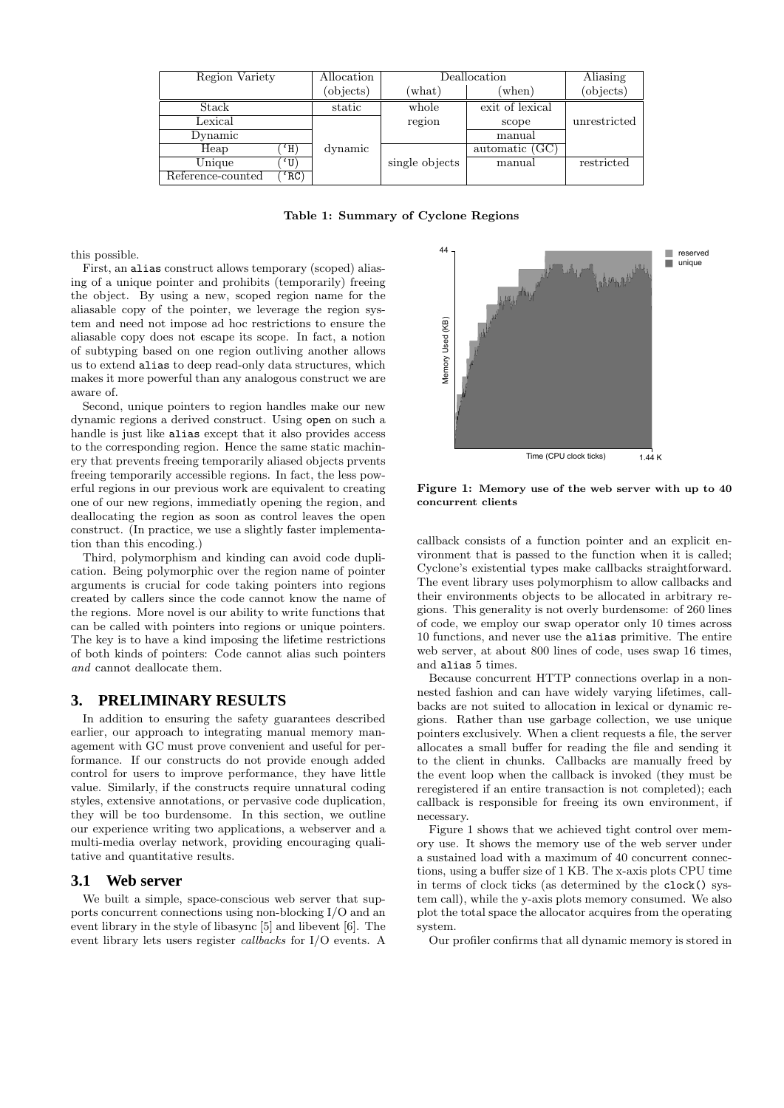| Region Variety    |          | Allocation | Deallocation    |                 | Aliasing     |
|-------------------|----------|------------|-----------------|-----------------|--------------|
|                   |          | (objects)  | $(\text{what})$ | $(\text{when})$ | (objects)    |
| Stack             |          | static     | whole           | exit of lexical |              |
| Lexical           |          |            | region          | scope           | unrestricted |
| Dynamic           |          |            |                 | manual          |              |
| Heap              | (H)      | dynamic    |                 | automatic (GC)  |              |
| Unique            | $\Omega$ |            | single objects  | manual          | restricted   |
| Reference-counted | 'RC)     |            |                 |                 |              |

Table 1: Summary of Cyclone Regions

this possible.

First, an alias construct allows temporary (scoped) aliasing of a unique pointer and prohibits (temporarily) freeing the object. By using a new, scoped region name for the aliasable copy of the pointer, we leverage the region system and need not impose ad hoc restrictions to ensure the aliasable copy does not escape its scope. In fact, a notion of subtyping based on one region outliving another allows us to extend alias to deep read-only data structures, which makes it more powerful than any analogous construct we are aware of.

Second, unique pointers to region handles make our new dynamic regions a derived construct. Using open on such a handle is just like alias except that it also provides access to the corresponding region. Hence the same static machinery that prevents freeing temporarily aliased objects prvents freeing temporarily accessible regions. In fact, the less powerful regions in our previous work are equivalent to creating one of our new regions, immediatly opening the region, and deallocating the region as soon as control leaves the open construct. (In practice, we use a slightly faster implementation than this encoding.)

Third, polymorphism and kinding can avoid code duplication. Being polymorphic over the region name of pointer arguments is crucial for code taking pointers into regions created by callers since the code cannot know the name of the regions. More novel is our ability to write functions that can be called with pointers into regions or unique pointers. The key is to have a kind imposing the lifetime restrictions of both kinds of pointers: Code cannot alias such pointers and cannot deallocate them.

## **3. PRELIMINARY RESULTS**

In addition to ensuring the safety guarantees described earlier, our approach to integrating manual memory management with GC must prove convenient and useful for performance. If our constructs do not provide enough added control for users to improve performance, they have little value. Similarly, if the constructs require unnatural coding styles, extensive annotations, or pervasive code duplication, they will be too burdensome. In this section, we outline our experience writing two applications, a webserver and a multi-media overlay network, providing encouraging qualitative and quantitative results.

#### **3.1 Web server**

We built a simple, space-conscious web server that supports concurrent connections using non-blocking I/O and an event library in the style of libasync [5] and libevent [6]. The event library lets users register callbacks for I/O events. A



Figure 1: Memory use of the web server with up to 40 concurrent clients

callback consists of a function pointer and an explicit environment that is passed to the function when it is called; Cyclone's existential types make callbacks straightforward. The event library uses polymorphism to allow callbacks and their environments objects to be allocated in arbitrary regions. This generality is not overly burdensome: of 260 lines of code, we employ our swap operator only 10 times across 10 functions, and never use the alias primitive. The entire web server, at about 800 lines of code, uses swap 16 times, and alias 5 times.

Because concurrent HTTP connections overlap in a nonnested fashion and can have widely varying lifetimes, callbacks are not suited to allocation in lexical or dynamic regions. Rather than use garbage collection, we use unique pointers exclusively. When a client requests a file, the server allocates a small buffer for reading the file and sending it to the client in chunks. Callbacks are manually freed by the event loop when the callback is invoked (they must be reregistered if an entire transaction is not completed); each callback is responsible for freeing its own environment, if necessary.

Figure 1 shows that we achieved tight control over memory use. It shows the memory use of the web server under a sustained load with a maximum of 40 concurrent connections, using a buffer size of 1 KB. The x-axis plots CPU time in terms of clock ticks (as determined by the clock() system call), while the y-axis plots memory consumed. We also plot the total space the allocator acquires from the operating system.

Our profiler confirms that all dynamic memory is stored in